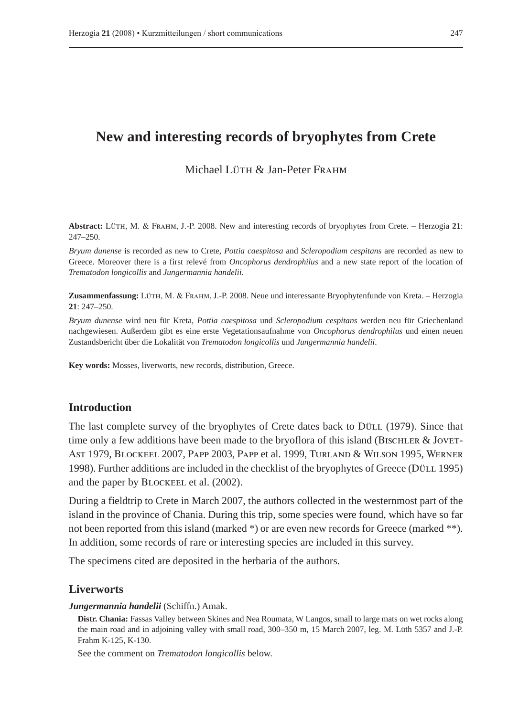# **New and interesting records of bryophytes from Crete**

# Michael Lüth  $\&$  Jan-Peter Frahm

**Abstract:** Lüth, M. & Frahm, J.-P. 2008. New and interesting records of bryophytes from Crete. – Herzogia **21**: 247–250.

*Bryum dunense* is recorded as new to Crete, *Pottia caespitosa* and *Scleropodium cespitans* are recorded as new to Greece. Moreover there is a first relevé from *Oncophorus dendrophilus* and a new state report of the location of *Trematodon longicollis* and *Jungermannia handelii*.

**Zusammenfassung:** Lüth, M. & Frahm, J.-P. 2008. Neue und interessante Bryophytenfunde von Kreta. – Herzogia **21**: 247–250.

*Bryum dunense* wird neu für Kreta, *Pottia caespitosa* und *Scleropodium cespitans* werden neu für Griechenland nachgewiesen. Außerdem gibt es eine erste Vegetationsaufnahme von *Oncophorus dendrophilus* und einen neuen Zustandsbericht über die Lokalität von *Trematodon longicollis* und *Jungermannia handelii*.

**Key words:** Mosses, liverworts, new records, distribution, Greece.

# **Introduction**

The last complete survey of the bryophytes of Crete dates back to Düll (1979). Since that time only a few additions have been made to the bryoflora of this island (BISCHLER & JOVET-Ast 1979, Blockeel 2007, Papp 2003, Papp et al. 1999, Turland & Wilson 1995, Werner 1998). Further additions are included in the checklist of the bryophytes of Greece (Düll 1995) and the paper by Blockeel et al. (2002).

During a fieldtrip to Crete in March 2007, the authors collected in the westernmost part of the island in the province of Chania. During this trip, some species were found, which have so far not been reported from this island (marked \*) or are even new records for Greece (marked \*\*). In addition, some records of rare or interesting species are included in this survey.

The specimens cited are deposited in the herbaria of the authors.

#### **Liverworts**

#### *Jungermannia handelii* (Schiffn.) Amak.

**Distr. Chania:** Fassas Valley between Skines and Nea Roumata, W Langos, small to large mats on wet rocks along the main road and in adjoining valley with small road, 300–350 m, 15 March 2007, leg. M. Lüth 5357 and J.-P. Frahm K-125, K-130.

See the comment on *Trematodon longicollis* below.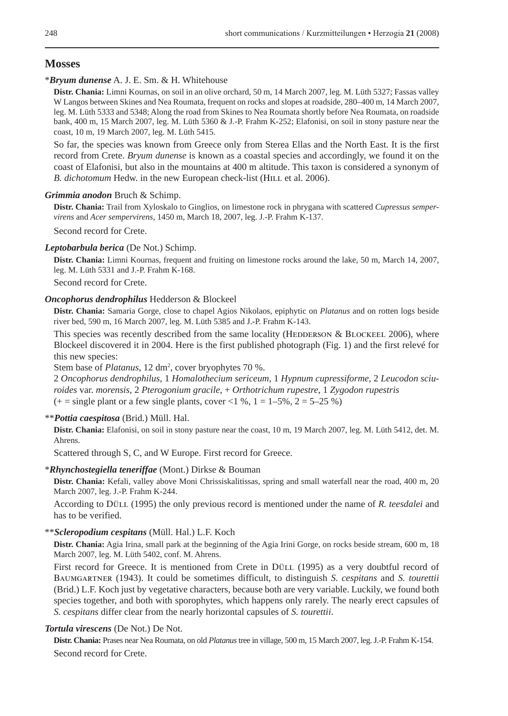# **Mosses**

#### \**Bryum dunense* A. J. E. Sm. & H. Whitehouse

**Distr. Chania:** Limni Kournas, on soil in an olive orchard, 50 m, 14 March 2007, leg. M. Lüth 5327; Fassas valley W Langos between Skines and Nea Roumata, frequent on rocks and slopes at roadside, 280–400 m, 14 March 2007, leg. M. Lüth 5333 and 5348; Along the road from Skines to Nea Roumata shortly before Nea Roumata, on roadside bank, 400 m, 15 March 2007, leg. M. Lüth 5360 & J.-P. Frahm K-252; Elafonisi, on soil in stony pasture near the coast, 10 m, 19 March 2007, leg. M. Lüth 5415.

So far, the species was known from Greece only from Sterea Ellas and the North East. It is the first record from Crete. *Bryum dunense* is known as a coastal species and accordingly, we found it on the coast of Elafonisi, but also in the mountains at 400 m altitude. This taxon is considered a synonym of *B. dichotomum* Hedw. in the new European check-list (HILL et al. 2006).

#### *Grimmia anodon* Bruch & Schimp.

**Distr. Chania:** Trail from Xyloskalo to Ginglios, on limestone rock in phrygana with scattered *Cupressus sempervirens* and *Acer sempervirens*, 1450 m, March 18, 2007, leg. J.-P. Frahm K-137.

Second record for Crete.

## *Leptobarbula berica* (De Not.) Schimp.

**Distr. Chania:** Limni Kournas, frequent and fruiting on limestone rocks around the lake, 50 m, March 14, 2007, leg. M. Lüth 5331 and J.-P. Frahm K-168.

Second record for Crete.

#### *Oncophorus dendrophilus* Hedderson & Blockeel

**Distr. Chania:** Samaria Gorge, close to chapel Agios Nikolaos, epiphytic on *Platanus* and on rotten logs beside river bed, 590 m, 16 March 2007, leg. M. Lüth 5385 and J.-P. Frahm K-143.

This species was recently described from the same locality (HEDDERSON  $&$  BLOCKEEL 2006), where Blockeel discovered it in 2004. Here is the first published photograph (Fig. 1) and the first relevé for this new species:

Stem base of *Platanus*, 12 dm<sup>2</sup>, cover bryophytes 70 %.

2 *Oncophorus dendrophilus*, 1 *Homalothecium sericeum*, 1 *Hypnum cupressiforme*, 2 *Leucodon sciuroides* var. *morensis*, 2 *Pterogonium gracile*, + *Orthotrichum rupestre*, 1 *Zygodon rupestris*  $(+)$  = single plant or a few single plants, cover <1 %, 1 = 1–5%, 2 = 5–25 %)

## \*\**Pottia caespitosa* (Brid.) Müll. Hal.

**Distr. Chania:** Elafonisi, on soil in stony pasture near the coast, 10 m, 19 March 2007, leg. M. Lüth 5412, det. M. Ahrens.

Scattered through S, C, and W Europe. First record for Greece.

#### \**Rhynchostegiella teneriffae* (Mont.) Dirkse & Bouman

**Distr. Chania:** Kefali, valley above Moni Chrissiskalitissas, spring and small waterfall near the road, 400 m, 20 March 2007, leg. J.-P. Frahm K-244.

According to Düll (1995) the only previous record is mentioned under the name of *R. teesdalei* and has to be verified.

#### \*\**Scleropodium cespitans* (Müll. Hal.) L.F. Koch

**Distr. Chania:** Agia Irina, small park at the beginning of the Agia Irini Gorge, on rocks beside stream, 600 m, 18 March 2007, leg. M. Lüth 5402, conf. M. Ahrens.

First record for Greece. It is mentioned from Crete in Düll (1995) as a very doubtful record of Baumgartner (1943). It could be sometimes difficult, to distinguish *S. cespitans* and *S. tourettii* (Brid.) L.F. Koch just by vegetative characters, because both are very variable. Luckily, we found both species together, and both with sporophytes, which happens only rarely. The nearly erect capsules of *S. cespitans* differ clear from the nearly horizontal capsules of *S. tourettii*.

## *Tortula virescens* (De Not.) De Not.

**Distr. Chania:** Prases near Nea Roumata, on old *Platanus* tree in village, 500 m, 15 March 2007, leg. J.-P. Frahm K-154. Second record for Crete.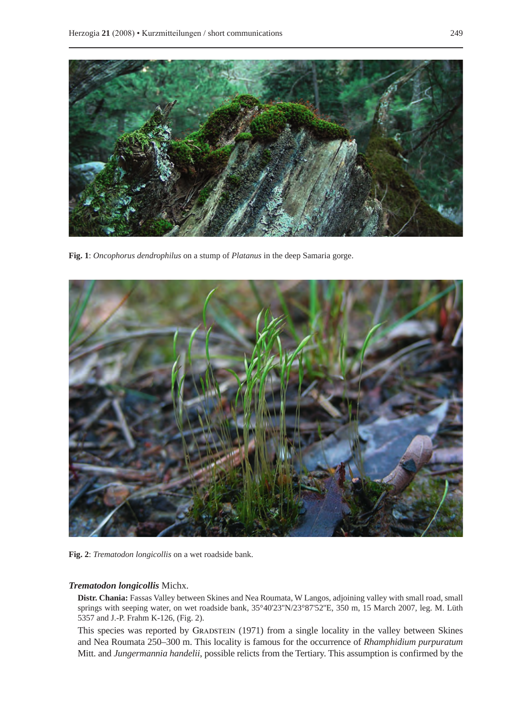

**Fig. 1**: *Oncophorus dendrophilus* on a stump of *Platanus* in the deep Samaria gorge.



**Fig. 2**: *Trematodon longicollis* on a wet roadside bank.

#### *Trematodon longicollis* Michx.

**Distr. Chania:** Fassas Valley between Skines and Nea Roumata, W Langos, adjoining valley with small road, small springs with seeping water, on wet roadside bank, 35°40'23''N/23°87'52''E, 350 m, 15 March 2007, leg. M. Lüth 5357 and J.-P. Frahm K-126, (Fig. 2).

This species was reported by GRADSTEIN (1971) from a single locality in the valley between Skines and Nea Roumata 250–300 m. This locality is famous for the occurrence of *Rhamphidium purpuratum* Mitt. and *Jungermannia handelii*, possible relicts from the Tertiary. This assumption is confirmed by the